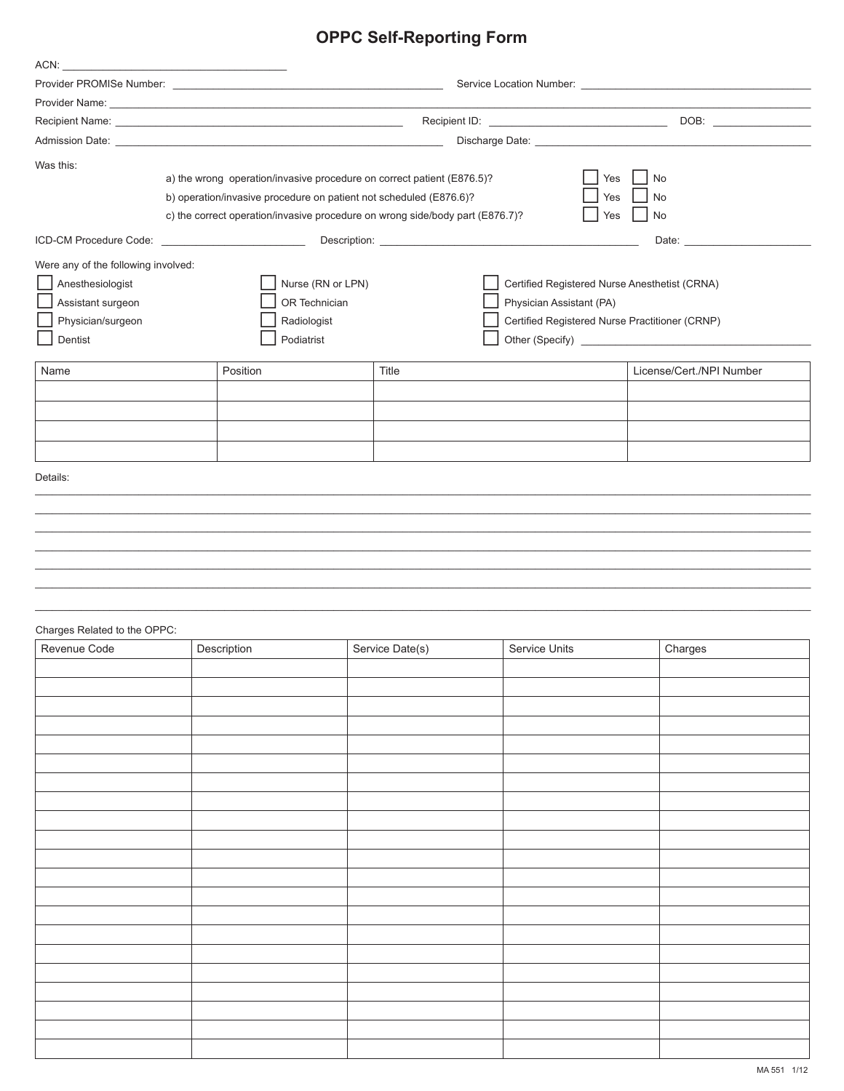## **OPPC Self-Reporting Form**

| ACN:                                             |                                                                               |                 |                                                |                          |
|--------------------------------------------------|-------------------------------------------------------------------------------|-----------------|------------------------------------------------|--------------------------|
|                                                  |                                                                               |                 |                                                |                          |
|                                                  |                                                                               |                 |                                                |                          |
|                                                  |                                                                               |                 |                                                |                          |
|                                                  |                                                                               |                 |                                                |                          |
| Was this:                                        |                                                                               |                 |                                                |                          |
|                                                  | a) the wrong operation/invasive procedure on correct patient (E876.5)?        |                 | Yes                                            | No                       |
|                                                  | b) operation/invasive procedure on patient not scheduled (E876.6)?            |                 | Yes                                            | <b>No</b>                |
|                                                  | c) the correct operation/invasive procedure on wrong side/body part (E876.7)? |                 | Yes                                            | No                       |
| ICD-CM Procedure Code: _________________________ |                                                                               |                 |                                                | Date:                    |
|                                                  |                                                                               |                 |                                                |                          |
| Were any of the following involved:              |                                                                               |                 |                                                |                          |
| Anesthesiologist                                 | Nurse (RN or LPN)                                                             |                 | Certified Registered Nurse Anesthetist (CRNA)  |                          |
| Assistant surgeon                                | OR Technician                                                                 |                 | Physician Assistant (PA)                       |                          |
| Physician/surgeon                                | Radiologist                                                                   |                 | Certified Registered Nurse Practitioner (CRNP) |                          |
| Dentist                                          | Podiatrist                                                                    |                 |                                                |                          |
| Name                                             | Position                                                                      | Title           |                                                | License/Cert./NPI Number |
|                                                  |                                                                               |                 |                                                |                          |
|                                                  |                                                                               |                 |                                                |                          |
|                                                  |                                                                               |                 |                                                |                          |
|                                                  |                                                                               |                 |                                                |                          |
| Details:                                         |                                                                               |                 |                                                |                          |
|                                                  |                                                                               |                 |                                                |                          |
|                                                  |                                                                               |                 |                                                |                          |
|                                                  |                                                                               |                 |                                                |                          |
|                                                  |                                                                               |                 |                                                |                          |
|                                                  |                                                                               |                 |                                                |                          |
|                                                  |                                                                               |                 |                                                |                          |
|                                                  |                                                                               |                 |                                                |                          |
| Charges Related to the OPPC:                     |                                                                               |                 |                                                |                          |
| Revenue Code                                     | Description                                                                   | Service Date(s) | Service Units                                  | Charges                  |
|                                                  |                                                                               |                 |                                                |                          |
|                                                  |                                                                               |                 |                                                |                          |
|                                                  |                                                                               |                 |                                                |                          |
|                                                  |                                                                               |                 |                                                |                          |
|                                                  |                                                                               |                 |                                                |                          |
|                                                  |                                                                               |                 |                                                |                          |
|                                                  |                                                                               |                 |                                                |                          |
|                                                  |                                                                               |                 |                                                |                          |
|                                                  |                                                                               |                 |                                                |                          |
|                                                  |                                                                               |                 |                                                |                          |
|                                                  |                                                                               |                 |                                                |                          |
|                                                  |                                                                               |                 |                                                |                          |
|                                                  |                                                                               |                 |                                                |                          |
|                                                  |                                                                               |                 |                                                |                          |
|                                                  |                                                                               |                 |                                                |                          |
|                                                  |                                                                               |                 |                                                |                          |
|                                                  |                                                                               |                 |                                                |                          |
|                                                  |                                                                               |                 |                                                |                          |
|                                                  |                                                                               |                 |                                                |                          |
|                                                  |                                                                               |                 |                                                |                          |
|                                                  |                                                                               |                 |                                                |                          |